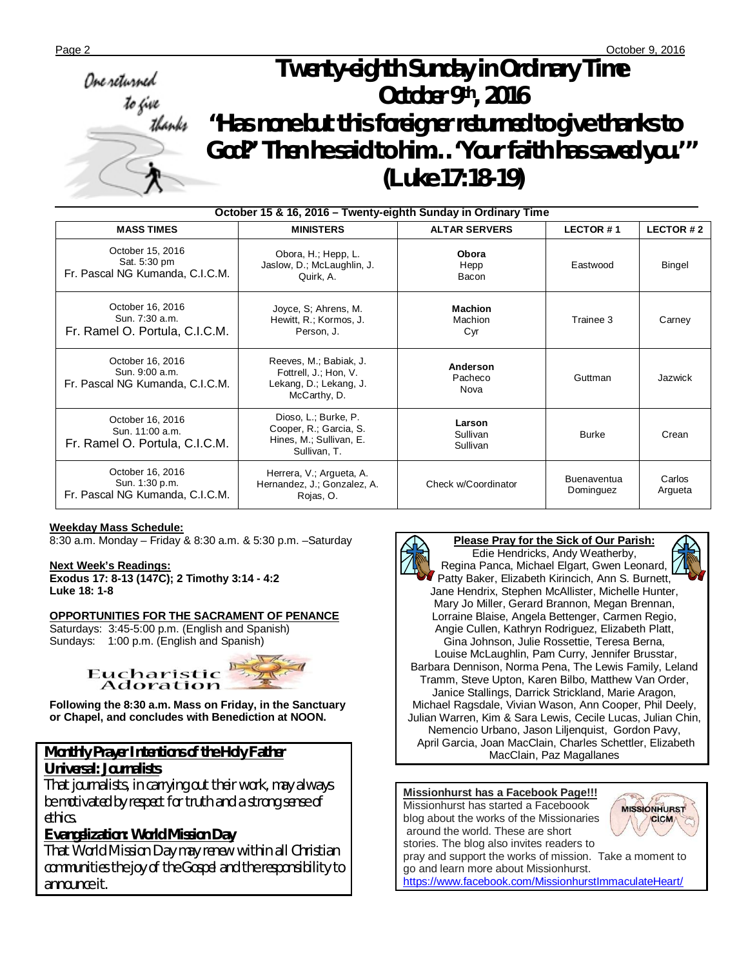# Page 2 **October 9, 2016**  *Twenty-eighth Sunday in Ordinary Time October 9th, 2016 "Has none but this foreigner returned to give thanks to God?' Then he said to him…'Your faith has saved you.'" (Luke 17:18-19)*

| October 15 & 16, 2016 - Twenty-eighth Sunday in Ordinary Time         |                                                                                           |                                  |                                 |                   |  |  |  |  |
|-----------------------------------------------------------------------|-------------------------------------------------------------------------------------------|----------------------------------|---------------------------------|-------------------|--|--|--|--|
| <b>MASS TIMES</b>                                                     | <b>MINISTERS</b>                                                                          | <b>ALTAR SERVERS</b>             | LECTOR #1                       | <b>LECTOR #2</b>  |  |  |  |  |
| October 15, 2016<br>Sat. 5:30 pm<br>Fr. Pascal NG Kumanda, C.I.C.M.   | Obora, H.; Hepp, L.<br>Jaslow, D.; McLaughlin, J.<br>Quirk, A.                            | Obora<br>Hepp<br>Bacon           | Eastwood                        | <b>Bingel</b>     |  |  |  |  |
| October 16, 2016<br>Sun. 7:30 a.m.<br>Fr. Ramel O. Portula, C.I.C.M.  | Joyce, S; Ahrens, M.<br>Hewitt, R.; Kormos, J.<br>Person, J.                              | <b>Machion</b><br>Machion<br>Cyr | Trainee 3                       | Carney            |  |  |  |  |
| October 16, 2016<br>Sun. 9:00 a.m.<br>Fr. Pascal NG Kumanda, C.I.C.M. | Reeves, M.; Babiak, J.<br>Fottrell, J.; Hon, V.<br>Lekang, D.; Lekang, J.<br>McCarthy, D. | Anderson<br>Pacheco<br>Nova      | Guttman                         | Jazwick           |  |  |  |  |
| October 16, 2016<br>Sun. 11:00 a.m.<br>Fr. Ramel O. Portula, C.I.C.M. | Dioso, L.; Burke, P.<br>Cooper, R.; Garcia, S.<br>Hines, M.; Sullivan, E.<br>Sullivan, T. | Larson<br>Sullivan<br>Sullivan   | <b>Burke</b>                    | Crean             |  |  |  |  |
| October 16, 2016<br>Sun. 1:30 p.m.<br>Fr. Pascal NG Kumanda, C.I.C.M. | Herrera, V.; Argueta, A.<br>Hernandez, J.; Gonzalez, A.<br>Rojas, O.                      | Check w/Coordinator              | <b>Buenaventua</b><br>Dominguez | Carlos<br>Argueta |  |  |  |  |

#### **Weekday Mass Schedule:**

8:30 a.m. Monday – Friday & 8:30 a.m. & 5:30 p.m. –Saturday

## **Next Week's Readings:**

**Exodus 17: 8-13 (147C); 2 Timothy 3:14 - 4:2 Luke 18: 1-8**

#### **OPPORTUNITIES FOR THE SACRAMENT OF PENANCE**

Saturdays: 3:45-5:00 p.m. (English and Spanish) Sundays: 1:00 p.m. (English and Spanish)



**Following the 8:30 a.m. Mass on Friday, in the Sanctuary or Chapel, and concludes with Benediction at NOON.**

## *Monthly Prayer Intentions of the Holy Father Universal: Journalists*

*That journalists, in carrying out their work, may always be motivated by respect for truth and a strong sense of ethics.*

## *Evangelization: World Mission Day*

*That World Mission Day may renew within all Christian communities the joy of the Gospel and the responsibility to announce it.* 





Patty Baker, Elizabeth Kirincich, Ann S. Burnett, Jane Hendrix, Stephen McAllister, Michelle Hunter, Mary Jo Miller, Gerard Brannon, Megan Brennan, Lorraine Blaise, Angela Bettenger, Carmen Regio, Angie Cullen, Kathryn Rodriguez, Elizabeth Platt, Gina Johnson, Julie Rossettie, Teresa Berna, Louise McLaughlin, Pam Curry, Jennifer Brusstar, Barbara Dennison, Norma Pena, The Lewis Family, Leland Tramm, Steve Upton, Karen Bilbo, Matthew Van Order, Janice Stallings, Darrick Strickland, Marie Aragon, Michael Ragsdale, Vivian Wason, Ann Cooper, Phil Deely, Julian Warren, Kim & Sara Lewis, Cecile Lucas, Julian Chin, Nemencio Urbano, Jason Liljenquist, Gordon Pavy, April Garcia, Joan MacClain, Charles Schettler, Elizabeth MacClain, Paz Magallanes



<https://www.facebook.com/MissionhurstImmaculateHeart/>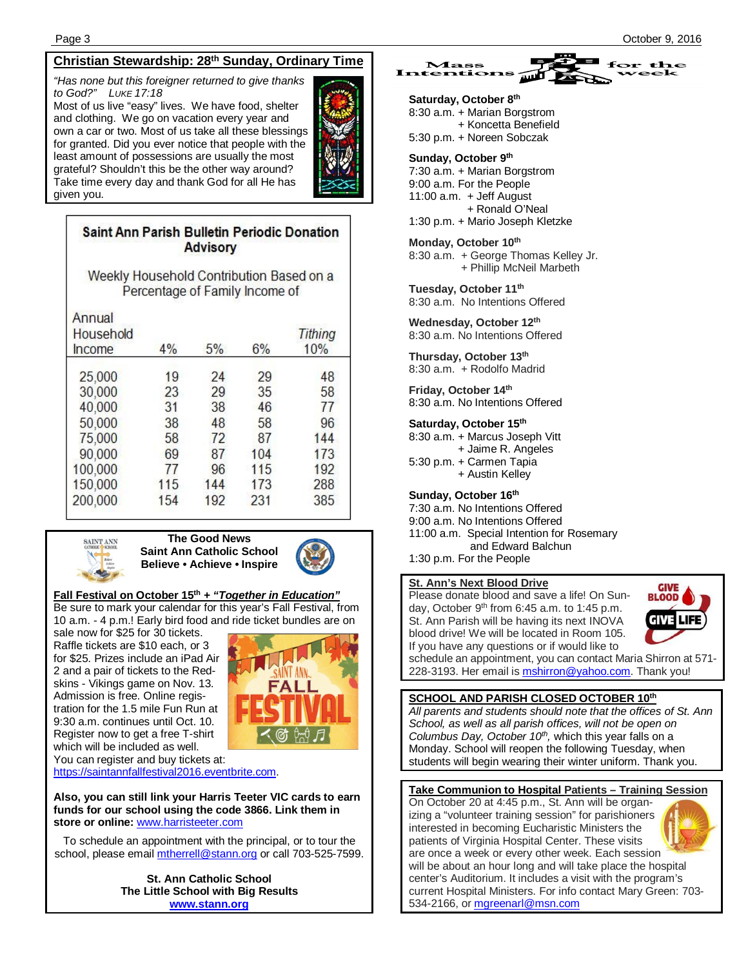## **Christian Stewardship: 28 th Sunday, Ordinary Time**

*"Has none but this foreigner returned to give thanks to God?" LUKE 17:18*

Most of us live "easy" lives. We have food, shelter and clothing. We go on vacation every year and own a car or two. Most of us take all these blessings for granted. Did you ever notice that people with the least amount of possessions are usually the most grateful? Shouldn't this be the other way around? Take time every day and thank God for all He has given you.

## Saint Ann Parish Bulletin Periodic Donation **Advisory**

Weekly Household Contribution Based on a Percentage of Family Income of

| Annual<br>Household<br>Income | 4%  | 5%  | 6%  | Tithing<br>10% |
|-------------------------------|-----|-----|-----|----------------|
| 25,000                        | 19  | 24  | 29  | 48             |
| 30,000                        | 23  | 29  | 35  | 58             |
| 40,000                        | 31  | 38  | 46  | 77             |
| 50,000                        | 38  | 48  | 58  | 96             |
| 75,000                        | 58  | 72  | 87  | 144            |
| 90,000                        | 69  | 87  | 104 | 173            |
| 100,000                       | 77  | 96  | 115 | 192            |
| 150,000                       | 115 | 144 | 173 | 288            |
| 200,000                       | 154 | 192 | 231 | 385            |



#### **The Good News Saint Ann Catholic School Believe • Achieve • Inspire**



## **Fall Festival on October 15th** *+ "Together in Education"*

Be sure to mark your calendar for this year's Fall Festival, from 10 a.m. - 4 p.m.! Early bird food and ride ticket bundles are on

sale now for \$25 for 30 tickets. Raffle tickets are \$10 each, or 3 for \$25. Prizes include an iPad Air 2 and a pair of tickets to the Redskins - Vikings game on Nov. 13. Admission is free. Online registration for the 1.5 mile Fun Run at 9:30 a.m. continues until Oct. 10. Register now to get a free T-shirt which will be included as well.



You can register and buy tickets at: <https://saintannfallfestival2016.eventbrite.com.>

**Also, you can still link your Harris Teeter VIC cards to earn funds for our school using the code 3866. Link them in store or online:** [www.harristeeter.com](http://www.harristeeter.com)

To schedule an appointment with the principal, or to tour the school, please email [mtherrell@stann.org](mailto:mtherrell@stann.org) or call 703-525-7599.

> **St. Ann Catholic School The Little School with Big Results [www.stann.org](http://www.stann.org)**



**Saturday, October 8th** 8:30 a.m. + Marian Borgstrom + Koncetta Benefield 5:30 p.m. + Noreen Sobczak

## **Sunday, October 9th**

7:30 a.m. + Marian Borgstrom 9:00 a.m. For the People 11:00 a.m. + Jeff August + Ronald O'Neal 1:30 p.m. + Mario Joseph Kletzke

#### **Monday, October 10th**

8:30 a.m. + George Thomas Kelley Jr. + Phillip McNeil Marbeth

**Tuesday, October 11th** 

8:30 a.m. No Intentions Offered

**Wednesday, October 12th** 8:30 a.m. No Intentions Offered

**Thursday, October 13th**  8:30 a.m. + Rodolfo Madrid

**Friday, October 14th** 8:30 a.m. No Intentions Offered

#### **Saturday, October 15th**

8:30 a.m. + Marcus Joseph Vitt + Jaime R. Angeles 5:30 p.m. + Carmen Tapia + Austin Kelley

#### **Sunday, October 16th**

7:30 a.m. No Intentions Offered 9:00 a.m. No Intentions Offered 11:00 a.m. Special Intention for Rosemary and Edward Balchun 1:30 p.m. For the People

#### **St. Ann's Next Blood Drive**

Please donate blood and save a life! On Sunday, October 9<sup>th</sup> from 6:45 a.m. to 1:45 p.m. St. Ann Parish will be having its next INOVA blood drive! We will be located in Room 105. If you have any questions or if would like to



schedule an appointment, you can contact Maria Shirron at 571- 228-3193. Her email is **mshirron@yahoo.com**. Thank you!

#### **SCHOOL AND PARISH CLOSED OCTOBER 10th**

*All parents and students should note that the offices of St. Ann School, as well as all parish offices, will not be open on Columbus Day, October 10th ,* which this year falls on a Monday. School will reopen the following Tuesday, when students will begin wearing their winter uniform. Thank you.

#### **Take Communion to Hospital Patients – Training Session**

On October 20 at 4:45 p.m., St. Ann will be organizing a "volunteer training session" for parishioners interested in becoming Eucharistic Ministers the patients of Virginia Hospital Center. These visits are once a week or every other week. Each session will be about an hour long and will take place the hospital center's Auditorium. It includes a visit with the program's current Hospital Ministers. For info contact Mary Green: 703- 534-2166, or [mgreenarl@msn.com](mailto:mgreenarl@msn.com) 

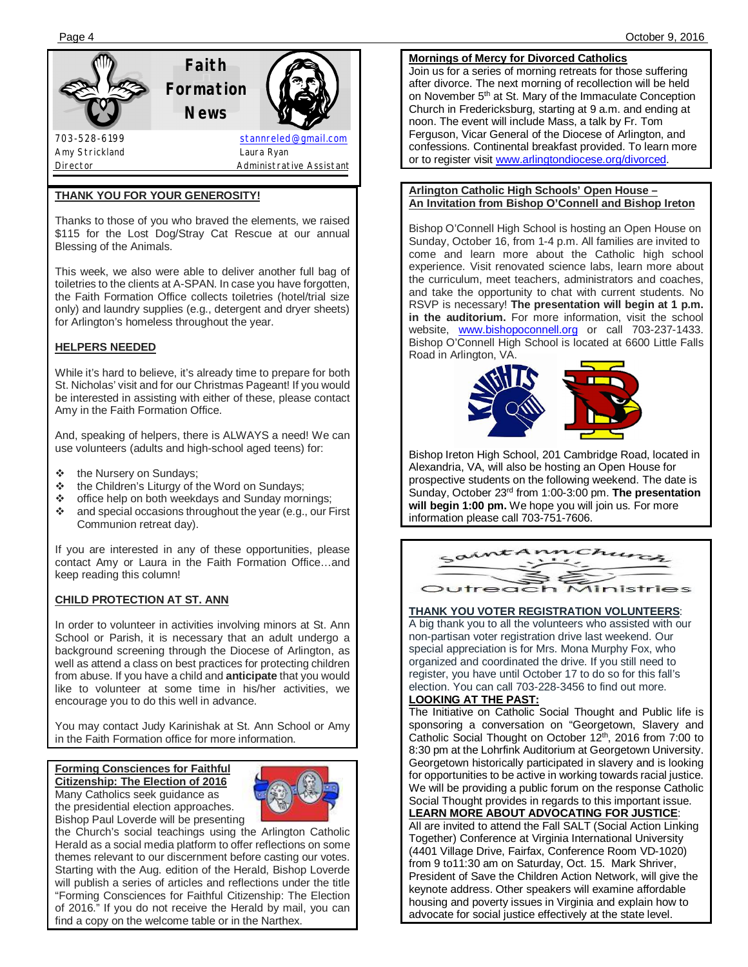## **THANK YOU FOR YOUR GENEROSITY!**

Thanks to those of you who braved the elements, we raised \$115 for the Lost Dog/Stray Cat Rescue at our annual Blessing of the Animals.

This week, we also were able to deliver another full bag of toiletries to the clients at A-SPAN. In case you have forgotten, the Faith Formation Office collects toiletries (hotel/trial size only) and laundry supplies (e.g., detergent and dryer sheets) for Arlington's homeless throughout the year.

## **HELPERS NEEDED**

While it's hard to believe, it's already time to prepare for both St. Nicholas' visit and for our Christmas Pageant! If you would be interested in assisting with either of these, please contact Amy in the Faith Formation Office.

And, speaking of helpers, there is ALWAYS a need! We can use volunteers (adults and high-school aged teens) for:

- the Nursery on Sundays;
- **U** the Children's Liturgy of the Word on Sundays;<br> **<b>**  Section of the Word Sunday more the bunday more
- office help on both weekdays and Sunday mornings;
- and special occasions throughout the year (e.g., our First Communion retreat day).

If you are interested in any of these opportunities, please contact Amy or Laura in the Faith Formation Office…and keep reading this column!

## **CHILD PROTECTION AT ST. ANN**

In order to volunteer in activities involving minors at St. Ann School or Parish, it is necessary that an adult undergo a background screening through the Diocese of Arlington, as well as attend a class on best practices for protecting children from abuse. If you have a child and **anticipate** that you would like to volunteer at some time in his/her activities, we encourage you to do this well in advance.

You may contact Judy Karinishak at St. Ann School or Amy in the Faith Formation office for more information.

#### **Forming Consciences for Faithful Citizenship: The Election of 2016** Many Catholics seek guidance as the presidential election approaches. Bishop Paul Loverde will be presenting



the Church's social teachings using the Arlington Catholic Herald as a social media platform to offer reflections on some themes relevant to our discernment before casting our votes. Starting with the Aug. edition of the Herald, Bishop Loverde will publish a series of articles and reflections under the title "Forming Consciences for Faithful Citizenship: The Election of 2016." If you do not receive the Herald by mail, you can find a copy on the welcome table or in the Narthex.

Page 4 October 9, 2016

#### **Mornings of Mercy for Divorced Catholics**

Join us for a series of morning retreats for those suffering after divorce. The next morning of recollection will be held on November 5<sup>th</sup> at St. Mary of the Immaculate Conception Church in Fredericksburg, starting at 9 a.m. and ending at noon. The event will include Mass, a talk by Fr. Tom Ferguson, Vicar General of the Diocese of Arlington, and confessions. Continental breakfast provided. To learn more or to register visit [www.arlingtondiocese.org/divorced.](http://www.arlingtondiocese.org/divorced.) 

#### **Arlington Catholic High Schools' Open House – An Invitation from Bishop O'Connell and Bishop Ireton**

Bishop O'Connell High School is hosting an Open House on Sunday, October 16, from 1-4 p.m. All families are invited to come and learn more about the Catholic high school experience. Visit renovated science labs, learn more about the curriculum, meet teachers, administrators and coaches, and take the opportunity to chat with current students. No RSVP is necessary! **The presentation will begin at 1 p.m. in the auditorium.** For more information, visit the school website, [www.bishopoconnell.org](http://www.bishopoconnell.org) or call 703-237-1433. Bishop O'Connell High School is located at 6600 Little Falls Road in Arlington, VA.



Bishop Ireton High School, 201 Cambridge Road, located in Alexandria, VA, will also be hosting an Open House for prospective students on the following weekend. The date is Sunday, October 23rd from 1:00-3:00 pm. **The presentation will begin 1:00 pm.** We hope you will join us. For more information please call 703-751-7606.



#### **THANK YOU VOTER REGISTRATION VOLUNTEERS**:

A big thank you to all the volunteers who assisted with our non-partisan voter registration drive last weekend. Our special appreciation is for Mrs. Mona Murphy Fox, who organized and coordinated the drive. If you still need to register, you have until October 17 to do so for this fall's election. You can call 703-228-3456 to find out more.

## **LOOKING AT THE PAST:**

The Initiative on Catholic Social Thought and Public life is sponsoring a conversation on "Georgetown, Slavery and Catholic Social Thought on October 12<sup>th</sup>, 2016 from 7:00 to 8:30 pm at the Lohrfink Auditorium at Georgetown University. Georgetown historically participated in slavery and is looking for opportunities to be active in working towards racial justice. We will be providing a public forum on the response Catholic Social Thought provides in regards to this important issue.

## **LEARN MORE ABOUT ADVOCATING FOR JUSTICE**:

All are invited to attend the Fall SALT (Social Action Linking Together) Conference at Virginia International University (4401 Village Drive, Fairfax, Conference Room VD-1020) from 9 to11:30 am on Saturday, Oct. 15. Mark Shriver, President of Save the Children Action Network, will give the keynote address. Other speakers will examine affordable housing and poverty issues in Virginia and explain how to advocate for social justice effectively at the state level.